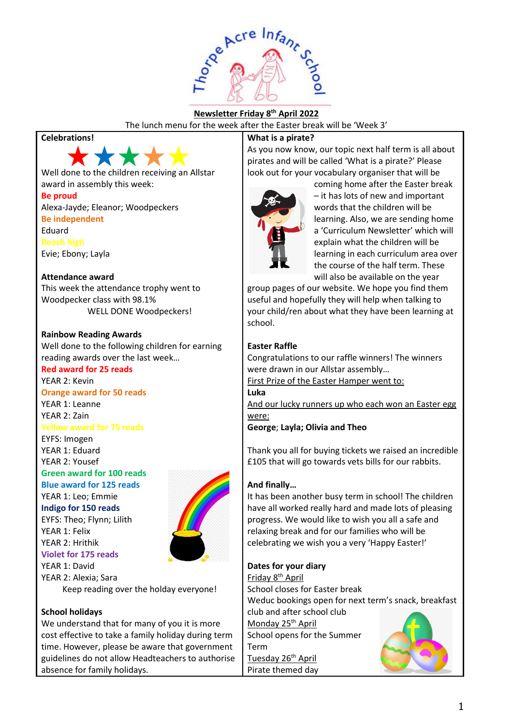

## **Newsletter Friday 8 th April 2022**

The lunch menu for the week after the Easter break will be 'Week 3'

## **Celebrations!**



Well done to the children receiving an Allstar award in assembly this week:

## **Be proud**

Alexa-Jayde; Eleanor; Woodpeckers **Be independent** Eduard **Reach high** Evie; Ebony; Layla

#### **Attendance award**

This week the attendance trophy went to Woodpecker class with 98.1% WELL DONE Woodpeckers!

### **Rainbow Reading Awards**

Well done to the following children for earning reading awards over the last week…

# **Red award for 25 reads**

YEAR 2: Kevin **Orange award for 50 reads** YEAR 1: Leanne YEAR 2: Zain

**Yellow award for 75 reads**

EYFS: Imogen YEAR 1: Eduard YEAR 2: Yousef

# **Green award for 100 reads**

**Blue award for 125 reads**

YEAR 1: Leo; Emmie

**Indigo for 150 reads** EYFS: Theo; Flynn; Lilith YEAR 1: Felix YEAR 2: Hrithik **Violet for 175 reads** YEAR 1: David



YEAR 2: Alexia; Sara Keep reading over the holday everyone!

### **School holidays**

We understand that for many of you it is more cost effective to take a family holiday during term time. However, please be aware that government guidelines do not allow Headteachers to authorise absence for family holidays.

## **What is a pirate?**

As you now know, our topic next half term is all about pirates and will be called 'What is a pirate?' Please look out for your vocabulary organiser that will be



coming home after the Easter break – it has lots of new and important words that the children will be learning. Also, we are sending home a 'Curriculum Newsletter' which will explain what the children will be learning in each curriculum area over the course of the half term. These will also be available on the year

group pages of our website. We hope you find them useful and hopefully they will help when talking to your child/ren about what they have been learning at school.

## **Easter Raffle**

Congratulations to our raffle winners! The winners were drawn in our Allstar assembly…

First Prize of the Easter Hamper went to: **Luka**

And our lucky runners up who each won an Easter egg were:

**George**; **Layla; Olivia and Theo**

Thank you all for buying tickets we raised an incredible £105 that will go towards vets bills for our rabbits.

### **And finally…**

It has been another busy term in school! The children have all worked really hard and made lots of pleasing progress. We would like to wish you all a safe and relaxing break and for our families who will be celebrating we wish you a very 'Happy Easter!'

### **Dates for your diary**

Friday 8th April School closes for Easter break Weduc bookings open for next term's snack, breakfast club and after school club Monday 25<sup>th</sup> April School opens for the Summer Term

Tuesday 26<sup>th</sup> April Pirate themed day